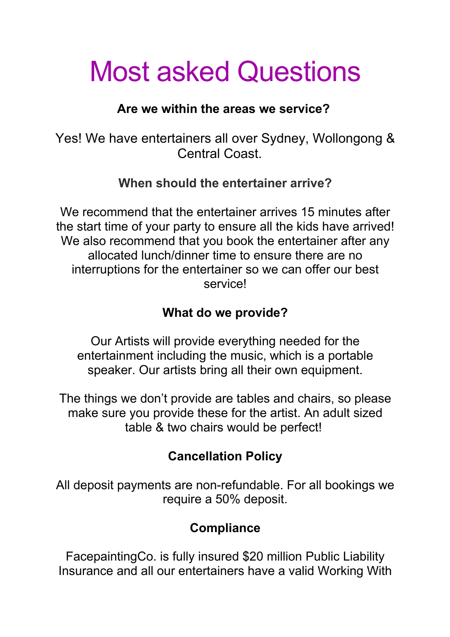# Most asked Questions

#### **Are we within the areas we service?**

Yes! We have entertainers all over Sydney, Wollongong & Central Coast.

#### **When should the entertainer arrive?**

We recommend that the entertainer arrives 15 minutes after the start time of your party to ensure all the kids have arrived! We also recommend that you book the entertainer after any allocated lunch/dinner time to ensure there are no interruptions for the entertainer so we can offer our best service!

#### **What do we provide?**

Our Artists will provide everything needed for the entertainment including the music, which is a portable speaker. Our artists bring all their own equipment.

The things we don't provide are tables and chairs, so please make sure you provide these for the artist. An adult sized table & two chairs would be perfect!

### **Cancellation Policy**

All deposit payments are non-refundable. For all bookings we require a 50% deposit.

## **Compliance**

FacepaintingCo. is fully insured \$20 million Public Liability Insurance and all our entertainers have a valid Working With